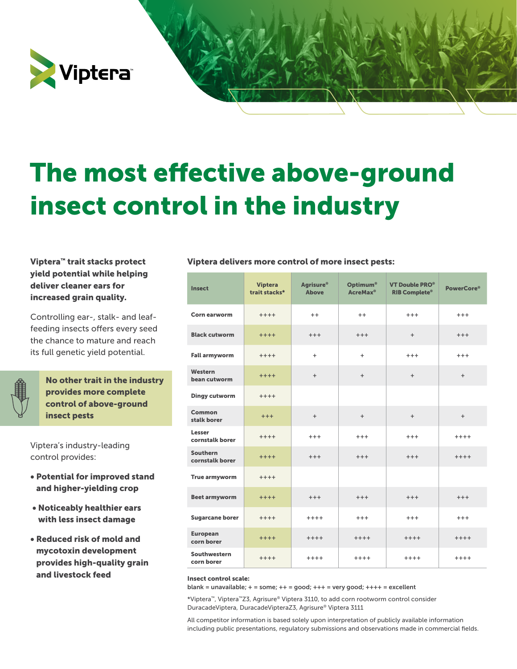

# The most effective above-ground insect control in the industry

yield potential while helping deliver cleaner ears for increased grain quality.

Controlling ear-, stalk- and leaffeeding insects offers every seed the chance to mature and reach its full genetic yield potential.

No other trait in the industry provides more complete control of above-ground insect pests

Viptera's industry-leading control provides:

- Potential for improved stand and higher-yielding crop
- Noticeably healthier ears with less insect damage
- Reduced risk of mold and mycotoxin development provides high-quality grain and livestock feed

#### Viptera<sup>™</sup> trait stacks protect Viptera delivers more control of more insect pests:

| <b>Insect</b>                      | <b>Viptera</b><br>trait stacks* | Agrisure <sup>®</sup><br><b>Above</b> | <b>Optimum®</b><br><b>AcreMax<sup>®</sup></b> | <b>VT Double PRO®</b><br><b>RIB Complete®</b> | <b>PowerCore®</b> |
|------------------------------------|---------------------------------|---------------------------------------|-----------------------------------------------|-----------------------------------------------|-------------------|
| Corn earworm                       | $+ + + +$                       | $++$                                  | $++$                                          | $+++$                                         | $+++$             |
| <b>Black cutworm</b>               | $++++$                          | $+++$                                 | $+++$                                         | $+$                                           | $+++$             |
| <b>Fall armyworm</b>               | $+++++$                         | $\ddot{}$                             | $\ddot{}$                                     | $+++$                                         | $+++$             |
| Western<br>bean cutworm            | $***+$                          | $+$                                   | $+$                                           | $+$                                           | $+$               |
| <b>Dingy cutworm</b>               | $+++++$                         |                                       |                                               |                                               |                   |
| Common<br>stalk borer              | $+++$                           | $+$                                   | $+$                                           | $+$                                           | $+$               |
| Lesser<br>cornstalk borer          | $++++$                          | $+++$                                 | $+++$                                         | $+++$                                         | $***+$            |
| <b>Southern</b><br>cornstalk borer | $+++++$                         | $+++$                                 | $+++$                                         | $+++$                                         | $++++$            |
| True armyworm                      | $+++++$                         |                                       |                                               |                                               |                   |
| <b>Beet armyworm</b>               | $++++$                          | $+++$                                 | $+++$                                         | $+++$                                         | $+++$             |
| <b>Sugarcane borer</b>             | $+++++$                         | $++++$                                | $+++$                                         | $+++$                                         | $+++$             |
| <b>European</b><br>corn borer      | $++++$                          | $+++++$                               | $++++$                                        | $+++++$                                       | $++++$            |
| Southwestern<br>corn borer         | $++++$                          | $+++++$                               | $+++++$                                       | $+++++$                                       | $+++++$           |

#### Insect control scale:

blank = unavailable;  $+$  = some;  $++$  = good;  $+++$  = very good;  $+++$  = excellent

\*Viptera™, Viptera™Z3, Agrisure® Viptera 3110, to add corn rootworm control consider DuracadeViptera, DuracadeVipteraZ3, Agrisure® Viptera 3111

All competitor information is based solely upon interpretation of publicly available information including public presentations, regulatory submissions and observations made in commercial fields.